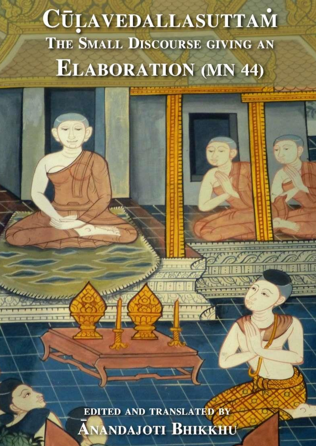# **CŪLAVEDALLASUTTAM** THE SMALL DISCOURSE GIVING AN **ELABORATION (MN 44)**

EDITED AND TRANSLATED BY **ANANDAJOTI BHIKKHU**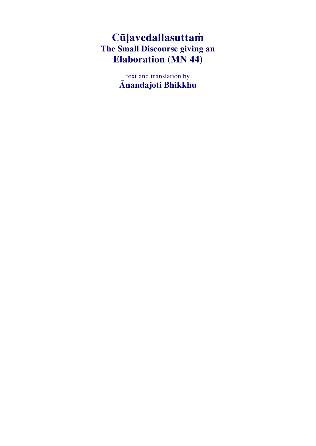# **Cūḷavedallasuttaṁ The Small Discourse giving an Elaboration (MN 44)**

text and translation by **Ānandajoti Bhikkhu**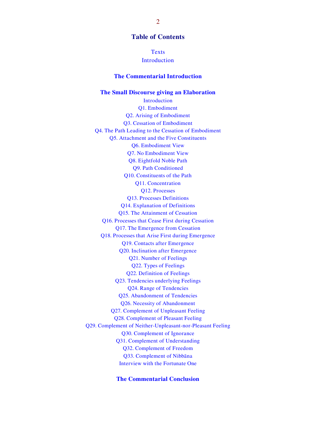**Table of Contents**

**[Texts](#page-3-0)** [Introduction](#page-4-0)

#### **[The Commentarial Introduction](#page-7-0)**

#### **[The Small Discourse giving an Elaboration](#page-16-0)** [Introduction](#page-16-1) [Q1. Embodiment](#page-16-2) [Q2. Arising of Embodiment](#page-17-0) [Q3. Cessation of Embodiment](#page-18-0) [Q4. The Path Leading to the Cessation of Embodiment](#page-18-1) [Q5. Attachment and the Five Constituents](#page-19-0) [Q6. Embodiment View](#page-20-0) [Q7. No Embodiment View](#page-21-0) [Q8. Eightfold Noble Path](#page-22-0) [Q9. Path Conditioned](#page-22-1) [Q10. Constituents of the Path](#page-23-0) [Q11. Concentration](#page-24-0) [Q12. Processes](#page-24-1) [Q13. Processes Definitions](#page-25-0) [Q14. Explanation of Definitions](#page-25-1) [Q15. The Attainment of Cessation](#page-26-0) [Q16. Processes that Cease First during Cessation](#page-26-1) [Q17. The Emergence from Cessation](#page-27-0) [Q18. Processes that Arise First during Emergence](#page-27-1) [Q19. Contacts after Emergence](#page-28-0) [Q20. Inclination after Emergence](#page-28-1) [Q21. Number of Feelings](#page-29-0) [Q22. Types of Feelings](#page-29-1) [Q22. Definition of Feelings](#page-30-0) [Q23. Tendencies underlying Feelings](#page-30-1) [Q24. Range of Tendencies](#page-31-0) [Q25. Abandonment of Tendencies](#page-31-1) [Q26. Necessity of Abandonment](#page-32-0) [Q27. Complement of Unpleasant Feeling](#page-34-0) [Q28. Complement of Pleasant Feeling](#page-34-1) [Q29. Complement of Neither-Unpleasant-nor-Pleasant Feeling](#page-34-2) [Q30. Complement of Ignorance](#page-34-3) [Q31. Complement of Understanding](#page-34-4) [Q32. Complement of Freedom](#page-35-0) [Q33. Complement of Nibbāna](#page-35-1) [Interview with the Fortunate One](#page-36-0)

**[The Commentarial Conclusion](#page-37-0)**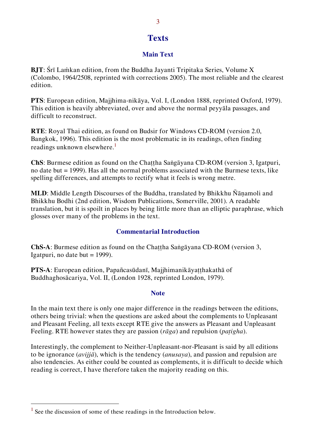## <span id="page-3-0"></span>**Texts**

#### **Main Text**

**BJT**: Śrī Laṁkan edition, from the Buddha Jayanti Tripitaka Series, Volume X (Colombo, 1964/2508, reprinted with corrections 2005). The most reliable and the clearest edition.

**PTS**: European edition, Majjhima-nikāya, Vol. I, (London 1888, reprinted Oxford, 1979). This edition is heavily abbreviated, over and above the normal peyyāla passages, and difficult to reconstruct.

**RTE**: Royal Thai edition, as found on Budsir for Windows CD-ROM (version 2.0, Bangkok, 1996). This edition is the most problematic in its readings, often finding readings unknown elsewhere. $\frac{1}{1}$ 

**ChS**: Burmese edition as found on the Chaṭṭha Saṅgāyana CD-ROM (version 3, Igatpuri, no date but = 1999). Has all the normal problems associated with the Burmese texts, like spelling differences, and attempts to rectify what it feels is wrong metre.

**MLD**: Middle Length Discourses of the Buddha, translated by Bhikkhu Ñāṇamoli and Bhikkhu Bodhi (2nd edition, Wisdom Publications, Somerville, 2001). A readable translation, but it is spoilt in places by being little more than an elliptic paraphrase, which glosses over many of the problems in the text.

#### **Commentarial Introduction**

**ChS-A**: Burmese edition as found on the Chaṭṭha Saṅgāyana CD-ROM (version 3, Igatpuri, no date but  $= 1999$ ).

**PTS-A**: European edition, Papañcasūdanī, Majjhimanikāyaṭṭhakathā of Buddhaghosācariya, Vol. II, (London 1928, reprinted London, 1979).

#### **Note**

In the main text there is only one major difference in the readings between the editions, others being trivial: when the questions are asked about the complements to Unpleasant and Pleasant Feeling, all texts except RTE give the answers as Pleasant and Unpleasant Feeling. RTE however states they are passion (*rāga*) and repulsion (*paṭigha*).

Interestingly, the complement to Neither-Unpleasant-nor-Pleasant is said by all editions to be ignorance (*avijjā*), which is the tendency (*anusaya*), and passion and repulsion are also tendencies. As either could be counted as complements, it is difficult to decide which reading is correct, I have therefore taken the majority reading on this.

<sup>&</sup>lt;sup>1</sup> See the discussion of some of these readings in the Introduction below.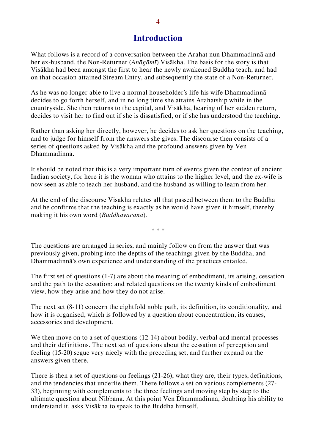## <span id="page-4-0"></span>**Introduction**

What follows is a record of a conversation between the Arahat nun Dhammadinnā and her ex-husband, the Non-Returner (*Anāgāmī*) Visākha. The basis for the story is that Visākha had been amongst the first to hear the newly awakened Buddha teach, and had on that occasion attained Stream Entry, and subsequently the state of a Non-Returner.

As he was no longer able to live a normal householder's life his wife Dhammadinnā decides to go forth herself, and in no long time she attains Arahatship while in the countryside. She then returns to the capital, and Visākha, hearing of her sudden return, decides to visit her to find out if she is dissatisfied, or if she has understood the teaching.

Rather than asking her directly, however, he decides to ask her questions on the teaching, and to judge for himself from the answers she gives. The discourse then consists of a series of questions asked by Visākha and the profound answers given by Ven Dhammadinnā.

It should be noted that this is a very important turn of events given the context of ancient Indian society, for here it is the woman who attains to the higher level, and the ex-wife is now seen as able to teach her husband, and the husband as willing to learn from her.

At the end of the discourse Visākha relates all that passed between them to the Buddha and he confirms that the teaching is exactly as he would have given it himself, thereby making it his own word (*Buddhavacana*).

\* \* \*

The questions are arranged in series, and mainly follow on from the answer that was previously given, probing into the depths of the teachings given by the Buddha, and Dhammadinnā's own experience and understanding of the practices entailed.

The first set of questions (1-7) are about the meaning of embodiment, its arising, cessation and the path to the cessation; and related questions on the twenty kinds of embodiment view, how they arise and how they do not arise.

The next set (8-11) concern the eightfold noble path, its definition, its conditionality, and how it is organised, which is followed by a question about concentration, its causes, accessories and development.

We then move on to a set of questions (12-14) about bodily, verbal and mental processes and their definitions. The next set of questions about the cessation of perception and feeling (15-20) segue very nicely with the preceding set, and further expand on the answers given there.

There is then a set of questions on feelings (21-26), what they are, their types, definitions, and the tendencies that underlie them. There follows a set on various complements (27- 33), beginning with complements to the three feelings and moving step by step to the ultimate question about Nibbāna. At this point Ven Dhammadinnā, doubting his ability to understand it, asks Visākha to speak to the Buddha himself.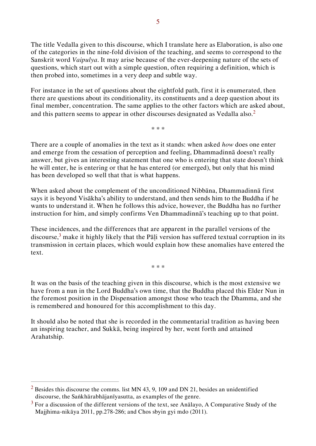The title Vedalla given to this discourse, which I translate here as Elaboration, is also one of the categories in the nine-fold division of the teaching, and seems to correspond to the Sanskrit word *Vaipulya*. It may arise because of the ever-deepening nature of the sets of questions, which start out with a simple question, often requiring a definition, which is then probed into, sometimes in a very deep and subtle way.

For instance in the set of questions about the eightfold path, first it is enumerated, then there are questions about its conditionality, its constituents and a deep question about its final member, concentration. The same applies to the other factors which are asked about, and this pattern seems to appear in other discourses designated as Vedalla also.<sup>2</sup>

\* \* \*

There are a couple of anomalies in the text as it stands: when asked *how* does one enter and emerge from the cessation of perception and feeling, Dhammadinnā doesn't really answer, but gives an interesting statement that one who is entering that state doesn't think he will enter, he is entering or that he has entered (or emerged), but only that his mind has been developed so well that that is what happens.

When asked about the complement of the unconditioned Nibbāna, Dhammadinnā first says it is beyond Visākha's ability to understand, and then sends him to the Buddha if he wants to understand it. When he follows this advice, however, the Buddha has no further instruction for him, and simply confirms Ven Dhammadinnā's teaching up to that point.

These incidences, and the differences that are apparent in the parallel versions of the discourse, $3$  make it highly likely that the Pali version has suffered textual corruption in its transmission in certain places, which would explain how these anomalies have entered the text.

\* \* \*

It was on the basis of the teaching given in this discourse, which is the most extensive we have from a nun in the Lord Buddha's own time, that the Buddha placed this Elder Nun in the foremost position in the Dispensation amongst those who teach the Dhamma, and she is remembered and honoured for this accomplishment to this day.

It should also be noted that she is recorded in the commentarial tradition as having been an inspiring teacher, and Sukkā, being inspired by her, went forth and attained Arahatship.

 $2$  Besides this discourse the comms. list MN 43, 9, 109 and DN 21, besides an unidentified discourse, the Saṅkhārabhājanīyasutta, as examples of the genre.

 $3$  For a discussion of the different versions of the text, see Analayo, A Comparative Study of the Majjhima-nikāya 2011, pp.278-286; and Chos sbyin gyi mdo (2011).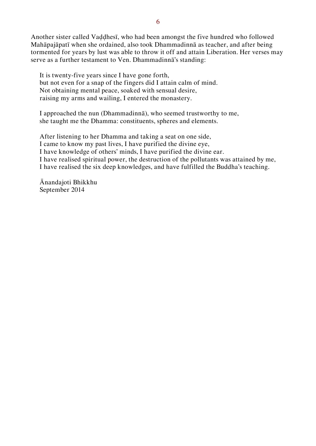Another sister called Vaḍḍhesī, who had been amongst the five hundred who followed Mahāpajāpatī when she ordained, also took Dhammadinnā as teacher, and after being tormented for years by lust was able to throw it off and attain Liberation. Her verses may serve as a further testament to Ven. Dhammadinnā's standing:

It is twenty-five years since I have gone forth, but not even for a snap of the fingers did I attain calm of mind. Not obtaining mental peace, soaked with sensual desire, raising my arms and wailing, I entered the monastery.

I approached the nun (Dhammadinnā), who seemed trustworthy to me, she taught me the Dhamma: constituents, spheres and elements.

After listening to her Dhamma and taking a seat on one side, I came to know my past lives, I have purified the divine eye, I have knowledge of others' minds, I have purified the divine ear. I have realised spiritual power, the destruction of the pollutants was attained by me, I have realised the six deep knowledges, and have fulfilled the Buddha's teaching.

Ānandajoti Bhikkhu September 2014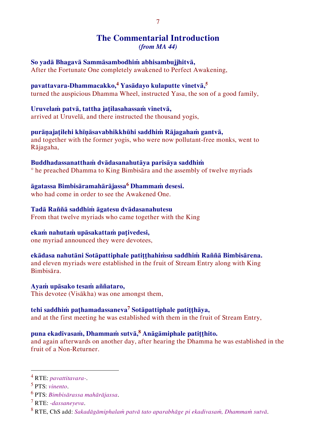## <span id="page-7-0"></span>**The Commentarial Introduction** *(from MA 44)*

# **So yadā Bhagavā Sammāsambodhiṁ abhisambujjhitvā,**

After the Fortunate One completely awakened to Perfect Awakening,

## **pavattavara-Dhammacakko,<sup>4</sup> Yasādayo kulaputte vinetvā,<sup>5</sup>**

turned the auspicious Dhamma Wheel, instructed Yasa, the son of a good family,

#### **Uruvelaṁ patvā, tattha jaṭilasahassaṁ vinetvā,**

arrived at Uruvelā, and there instructed the thousand yogis,

#### **purāṇajaṭilehi khīṇāsavabhikkhūhi saddhiṁ Rājagahaṁ gantvā,**

and together with the former yogis, who were now pollutant-free monks, went to Rājagaha,

#### **Buddhadassanatthaṁ dvādasanahutāya parisāya saddhiṁ**

° he preached Dhamma to King Bimbisāra and the assembly of twelve myriads

#### **āgatassa Bimbisāramahārājassa<sup>6</sup> Dhammaṁ desesi.**

who had come in order to see the Awakened One.

#### **Tadā Raññā saddhiṁ āgatesu dvādasanahutesu**

From that twelve myriads who came together with the King

### **ekaṁ nahutaṁ upāsakattaṁ paṭivedesi,**

one myriad announced they were devotees,

## **ekādasa nahutāni Sotāpattiphale patiṭṭhahiṁsu saddhiṁ Raññā Bimbisārena.**

and eleven myriads were established in the fruit of Stream Entry along with King Bimbisāra.

#### **Ayaṁ upāsako tesaṁ aññataro,**

This devotee (Visākha) was one amongst them,

### **tehi saddhiṁ paṭhamadassaneva<sup>7</sup> Sotāpattiphale patiṭṭhāya,**

and at the first meeting he was established with them in the fruit of Stream Entry,

## **puna ekadivasaṁ, Dhammaṁ sutvā,<sup>8</sup> Anāgāmiphale patiṭṭhito.**

and again afterwards on another day, after hearing the Dhamma he was established in the fruit of a Non-Returner.

<sup>4</sup> RTE: *pavattitavara-*.

<sup>5</sup> PTS: *vinento*.

<sup>6</sup> PTS: *Bimbisārassa mahārājassa*.

<sup>7</sup> RTE: *-dassaneyeva*.

<sup>8</sup> RTE, ChS add: *Sakadāgāmiphalaṁ patvā tato aparabhāge pi ekadivasaṁ, Dhammaṁ sutvā*.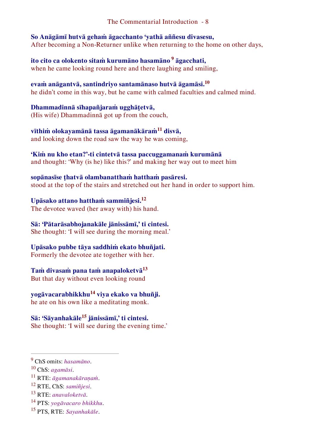**So Anāgāmī hutvā gehaṁ āgacchanto 'yathā aññesu divasesu,** After becoming a Non-Returner unlike when returning to the home on other days,

**ito cito ca olokento sitaṁ kurumāno hasamāno <sup>9</sup> āgacchati,**  when he came looking round here and there laughing and smiling,

**evaṁ anāgantvā, santindriyo santamānaso hutvā āgamāsi.<sup>10</sup>** he didn't come in this way, but he came with calmed faculties and calmed mind.

**Dhammadinnā sīhapañjaraṁ ugghāṭetvā,** (His wife) Dhammadinnā got up from the couch,

**vīthiṁ olokayamānā tassa āgamanākāraṁ<sup>11</sup> disvā,**  and looking down the road saw the way he was coming,

**'Kiṁ nu kho etan?'-ti cintetvā tassa paccuggamanaṁ kurumānā**  and thought: 'Why (is he) like this?' and making her way out to meet him

**sopānasīse ṭhatvā olambanatthaṁ hatthaṁ pasāresi.**  stood at the top of the stairs and stretched out her hand in order to support him.

**Upāsako attano hatthaṁ sammiñjesi.<sup>12</sup>** The devotee waved (her away with) his hand.

**Sā: 'Pātarāsabhojanakāle jānissāmī,' ti cintesi.**  She thought: 'I will see during the morning meal.'

**Upāsako pubbe tāya saddhiṁ ekato bhuñjati.**  Formerly the devotee ate together with her.

**Taṁ divasaṁ pana taṁ anapaloketvā<sup>13</sup>**

But that day without even looking round

**yogāvacarabhikkhu<sup>14</sup> viya ekako va bhuñji.** 

he ate on his own like a meditating monk.

**Sā: 'Sāyanhakāle<sup>15</sup> jānissāmī,' ti cintesi.** 

She thought: 'I will see during the evening time.'

- <sup>14</sup> PTS: *yogāvacaro bhikkhu*.
- <sup>15</sup> PTS, RTE: *Sayanhakāle*.

<sup>9</sup> ChS omits: *hasamāno*.

<sup>10</sup> ChS: *agamāsi*.

<sup>11</sup> RTE: *āgamanakāraṇaṁ*.

<sup>12</sup> RTE, ChS: *samiñjesi*.

<sup>13</sup> RTE: *anavaloketvā*.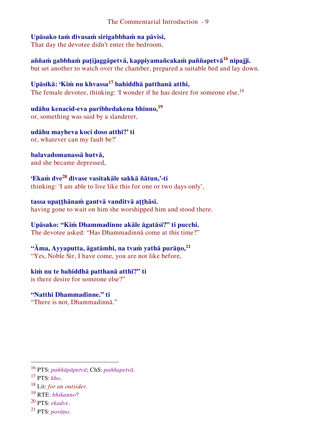#### **Upāsako taṁ divasaṁ sirigabbhaṁ na pāvisi,**

That day the devotee didn't enter the bedroom,

**aññaṁ gabbhaṁ paṭijaggāpetvā, kappiyamañcakaṁ paññapetvā<sup>16</sup> nipajji.**  but set another to watch over the chamber, prepared a suitable bed and lay down.

#### **Upāsikā: 'Kiṁ nu khvassa<sup>17</sup> bahiddhā patthanā atthi,**

The female devotee, thinking: 'I wonder if he has desire for someone else,<sup>18</sup>

**udāhu kenacid-eva paribhedakena bhinno,<sup>19</sup>**

or, something was said by a slanderer,

#### **udāhu mayheva koci doso atthī?' ti**

or, whatever can my fault be?'

#### **balavadomanassā hutvā,**

and she became depressed,

#### **'Ekaṁ dve<sup>20</sup> divase vasitakāle sakkā ñātun,'-ti**

thinking: 'I am able to live like this for one or two days only',

#### **tassa upaṭṭhānaṁ gantvā vanditvā aṭṭhāsi.**

having gone to wait on him she worshipped him and stood there.

#### **Upāsako: "Kiṁ Dhammadinne akāle āgatāsī?" ti pucchi.**

The devotee asked: "Has Dhammadinnā come at this time?"

## **"Āma, Ayyaputta, āgatāmhi, na tvaṁ yathā purāṇo,<sup>21</sup>**

"Yes, Noble Sir, I have come, you are not like before,

#### **kiṁ nu te bahiddhā patthanā atthī?" ti**

is there desire for someone else?"

## **"Natthi Dhammadinne." ti**

"There is not, Dhammadinnā."

<sup>16</sup> PTS: *paññāpāpetvā*; ChS: *paññapetvā*.

<sup>17</sup> PTS: *kho*.

<sup>18</sup> Lit: *for an outsider*.

<sup>19</sup> RTE: *bhikanno*?

<sup>20</sup> PTS: *ekadve*.

<sup>21</sup> PTS: *porāṇo*.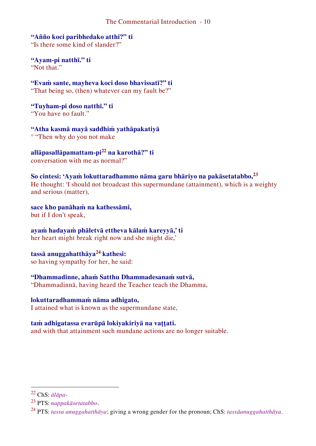**"Añño koci paribhedako atthī?" ti** "Is there some kind of slander?"

**"Ayam-pi natthī." ti** "Not that"

**"Evaṁ sante, mayheva koci doso bhavissatī?" ti** "That being so, (then) whatever can my fault be?"

**"Tuyham-pi doso natthī." ti** "You have no fault."

**"Atha kasmā mayā saddhiṁ yathāpakatiyā** ° "Then why do you not make

**allāpasallāpamattam-pi<sup>22</sup> na karothā?" ti** conversation with me as normal?"

**So cintesi: 'Ayaṁ lokuttaradhammo nāma garu bhāriyo na pakāsetatabbo,<sup>23</sup>** He thought: 'I should not broadcast this supermundane (attainment), which is a weighty and serious (matter),

#### **sace kho panāhaṁ na kathessāmi,**

but if I don't speak,

**ayaṁ hadayaṁ phāletvā ettheva kālaṁ kareyyā,' ti**  her heart might break right now and she might die,'

**tassā anuggahatthāya<sup>24</sup> kathesi:**  so having sympathy for her, he said:

#### **"Dhammadinne, ahaṁ Satthu Dhammadesanaṁ sutvā,**

"Dhammadinnā, having heard the Teacher teach the Dhamma,

#### **lokuttaradhammaṁ nāma adhigato,**

I attained what is known as the supermundane state,

#### **taṁ adhigatassa evarūpā lokiyakiriyā na vaṭṭati.**

and with that attainment such mundane actions are no longer suitable.

<sup>22</sup> ChS: *ālāpa*-

<sup>23</sup> PTS: *nappakāsetatabbo*.

<sup>24</sup> PTS: *tassa anuggahatthāya*; giving a wrong gender for the pronoun; ChS: *tassāanuggahatthāya*.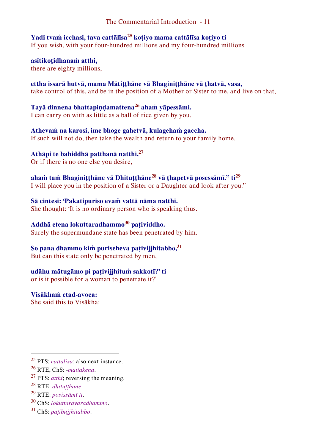**Yadi tvaṁ icchasi, tava cattālīsa<sup>25</sup> koṭiyo mama cattālīsa koṭiyo ti**  If you wish, with your four-hundred millions and my four-hundred millions

**asītikoṭidhanaṁ atthi,** there are eighty millions,

**ettha issarā hutvā, mama Mātiṭṭhāne vā Bhaginiṭṭhāne vā ṭhatvā, vasa,** take control of this, and be in the position of a Mother or Sister to me, and live on that,

**Tayā dinnena bhattapiṇḍamattena<sup>26</sup> ahaṁ yāpessāmi.**  I can carry on with as little as a ball of rice given by you.

**Athevaṁ na karosi, ime bhoge gahetvā, kulagehaṁ gaccha.** If such will not do, then take the wealth and return to your family home.

**Athāpi te bahiddhā patthanā natthi,<sup>27</sup>** Or if there is no one else you desire,

**ahaṁ taṁ Bhaginiṭṭhāne vā Dhituṭṭhāne<sup>28</sup> vā ṭhapetvā posessāmī." ti<sup>29</sup>** I will place you in the position of a Sister or a Daughter and look after you."

**Sā cintesi: 'Pakatipuriso evaṁ vattā nāma natthi.**  She thought: 'It is no ordinary person who is speaking thus.

**Addhā etena lokuttaradhammo<sup>30</sup> paṭividdho.**  Surely the supermundane state has been penetrated by him.

**So pana dhammo kiṁ puriseheva paṭivijjhitabbo,<sup>31</sup>** But can this state only be penetrated by men,

**udāhu mātugāmo pi paṭivijjhituṁ sakkotī?' ti** 

or is it possible for a woman to penetrate it?'

**Visākhaṁ etad-avoca:**  She said this to Visākha:

- <sup>30</sup> ChS: *lokuttaravaradhammo*.
- <sup>31</sup> ChS: *paṭibujjhitabbo*.

<sup>25</sup> PTS: *cattālisa*; also next instance.

<sup>26</sup> RTE, ChS: -*mattakena*.

<sup>27</sup> PTS: *atthi*; reversing the meaning.

<sup>28</sup> RTE: *dhītuṭṭhāne*.

<sup>29</sup> RTE: *posissāmī ti*.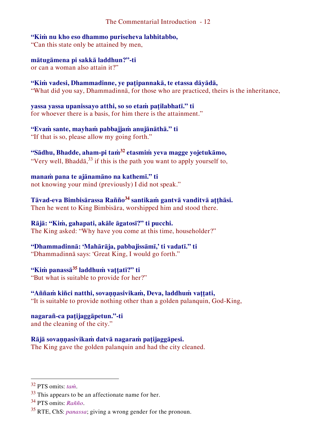**"Kiṁ nu kho eso dhammo puriseheva labhitabbo,** 

"Can this state only be attained by men,

**mātugāmena pi sakkā laddhun?"-ti**  or can a woman also attain it?"

**"Kiṁ vadesi, Dhammadinne, ye paṭipannakā, te etassa dāyādā,** "What did you say, Dhammadinnā, for those who are practiced, theirs is the inheritance,

**yassa yassa upanissayo atthi, so so etaṁ paṭilabhatī." ti**  for whoever there is a basis, for him there is the attainment."

**"Evaṁ sante, mayhaṁ pabbajjaṁ anujānāthā." ti** "If that is so, please allow my going forth."

**"Sādhu, Bhadde, aham-pi taṁ<sup>32</sup> etasmiṁ yeva magge yojetukāmo,**  "Very well, Bhadd $\bar{a}$ <sup>33</sup> if this is the path you want to apply yourself to,

**manaṁ pana te ajānamāno na kathemī." ti**  not knowing your mind (previously) I did not speak."

**Tāvad-eva Bimbisārassa Rañño<sup>34</sup> santikaṁ gantvā vanditvā aṭṭhāsi.** Then he went to King Bimbisāra, worshipped him and stood there.

**Rājā: "Kiṁ, gahapati, akāle āgatosī?" ti pucchi.** The King asked: "Why have you come at this time, householder?"

**"Dhammadinnā: 'Mahārāja, pabbajissāmī,' ti vadatī." ti** "Dhammadinnā says: 'Great King, I would go forth."

**"Kiṁ panassā<sup>35</sup> laddhuṁ vaṭṭatī?" ti** "But what is suitable to provide for her?"

**"Aññaṁ kiñci natthi, sovaṇṇasivikaṁ, Deva, laddhuṁ vaṭṭati,** "It is suitable to provide nothing other than a golden palanquin, God-King,

**nagarañ-ca paṭijaggāpetun."-ti** and the cleaning of the city."

**Rājā sovaṇṇasivikaṁ datvā nagaraṁ paṭijaggāpesi.**  The King gave the golden palanquin and had the city cleaned.

<sup>32</sup> PTS omits: *taṁ*.

 $33$  This appears to be an affectionate name for her.

<sup>34</sup> PTS omits: *Rañño*.

<sup>35</sup> RTE, ChS: *panassa*; giving a wrong gender for the pronoun.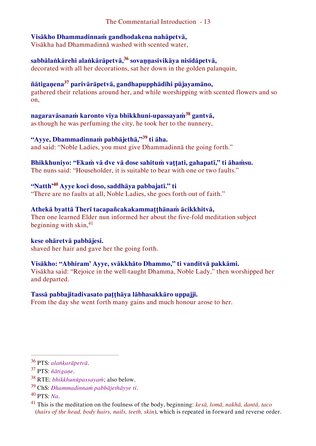#### **Visākho Dhammadinnaṁ gandhodakena nahāpetvā,**

Visākha had Dhammadinnā washed with scented water,

## **sabbālaṅkārehi alaṅkārāpetvā,<sup>36</sup> sovaṇṇasivikāya nisīdāpetvā,**

decorated with all her decorations, sat her down in the golden palanquin,

#### **ñātigaṇena<sup>37</sup> parivārāpetvā, gandhapupphādīhi pūjayamāno,**

gathered their relations around her, and while worshipping with scented flowers and so on,

## **nagaravāsanaṁ karonto viya bhikkhuni-upassayaṁ<sup>38</sup> gantvā,**

as though he was perfuming the city, he took her to the nunnery,

## **"Ayye, Dhammadinnaṁ pabbājethā,"<sup>39</sup> ti āha.**

and said: "Noble Ladies, you must give Dhammadinnā the going forth."

## **Bhikkhuniyo: "Ekaṁ vā dve vā dose sahituṁ vaṭṭati, gahapatī," ti āhaṁsu.**

The nuns said: "Householder, it is suitable to bear with one or two faults."

## **"Natth'<sup>40</sup> Ayye koci doso, saddhāya pabbajatī." ti**

"There are no faults at all, Noble Ladies, she goes forth out of faith."

### **Athekā byattā Therī tacapañcakakammaṭṭhānaṁ ācikkhitvā,**

Then one learned Elder nun informed her about the five-fold meditation subject beginning with skin, $41$ 

#### **kese ohāretvā pabbājesi.**

shaved her hair and gave her the going forth.

#### **Visākho: "Abhiram' Ayye, svākkhāto Dhammo," ti vanditvā pakkāmi.**

Visākha said: "Rejoice in the well-taught Dhamma, Noble Lady," then worshipped her and departed.

#### **Tassā pabbajitadivasato paṭṭhāya lābhasakkāro uppajji.**

From the day she went forth many gains and much honour arose to her.

<sup>36</sup> PTS: *alaṅkarāpetvā*.

<sup>37</sup> PTS: *ñātigaṇe*.

<sup>38</sup> RTE: *bhikkhunūpassayaṁ*; also below.

<sup>39</sup> ChS: *Dhammadinnaṁ pabbājethāyye ti*.

<sup>40</sup> PTS: *Na*.

<sup>41</sup> This is the meditation on the foulness of the body, beginning: *kesā, lomā, nakhā, dantā, taco* (*hairs of the head, body hairs, nails, teeth, skin*), which is repeated in forward and reverse order.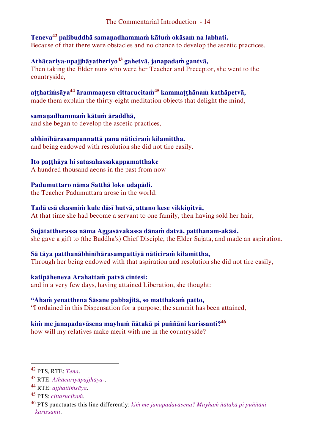#### **Teneva<sup>42</sup> palibuddhā samaṇadhammaṁ kātuṁ okāsaṁ na labhati.**  Because of that there were obstacles and no chance to develop the ascetic practices.

#### **Athācariya-upajjhāyatheriyo<sup>43</sup> gahetvā, janapadaṁ gantvā,** Then taking the Elder nuns who were her Teacher and Preceptor, she went to the countryside,

**aṭṭhatiṁsāya<sup>44</sup> ārammaṇesu cittarucitaṁ<sup>45</sup> kammaṭṭhānaṁ kathāpetvā,** made them explain the thirty-eight meditation objects that delight the mind,

**samaṇadhammaṁ kātuṁ āraddhā,**  and she began to develop the ascetic practices,

**abhinīhārasampannattā pana nāticiraṁ kilamittha.** and being endowed with resolution she did not tire easily.

### **Ito paṭṭhāya hi satasahassakappamatthake**

A hundred thousand aeons in the past from now

### **Padumuttaro nāma Satthā loke udapādi.**

the Teacher Padumuttara arose in the world.

#### **Tadā esā ekasmiṁ kule dāsī hutvā, attano kese vikkiṇitvā,**

At that time she had become a servant to one family, then having sold her hair,

#### **Sujātattherassa nāma Aggasāvakassa dānaṁ datvā, patthanam-akāsi.**

she gave a gift to (the Buddha's) Chief Disciple, the Elder Sujāta, and made an aspiration.

### **Sā tāya patthanābhinīhārasampattiyā nāticiraṁ kilamittha,**

Through her being endowed with that aspiration and resolution she did not tire easily,

#### **katipāheneva Arahattaṁ patvā cintesi:**

and in a very few days, having attained Liberation, she thought:

### **"Ahaṁ yenatthena Sāsane pabbajitā, so matthakaṁ patto,**

"I ordained in this Dispensation for a purpose, the summit has been attained,

### **kiṁ me janapadavāsena mayhaṁ ñātakā pi puññāni karissanti?<sup>46</sup>**

how will my relatives make merit with me in the countryside?

<sup>42</sup> PTS, RTE: *Tena*.

<sup>43</sup> RTE: *Athācariyūpajjhāya-*.

<sup>44</sup> RTE: *aṭṭhattiṁsāya*.

<sup>45</sup> PTS: *cittarucikaṁ*.

<sup>46</sup> PTS punctuates this line differently: *kiṁ me janapadavāsena? Mayhaṁ ñātakā pi puññāni karissanti*.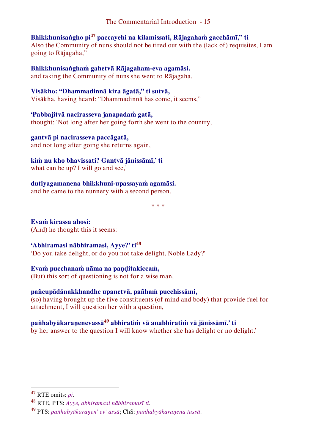## **Bhikkhunisaṅgho pi<sup>47</sup> paccayehi na kilamissati, Rājagahaṁ gacchāmī," ti**

Also the Community of nuns should not be tired out with the (lack of) requisites, I am going to Rājagaha,"

**Bhikkhunisaṅghaṁ gahetvā Rājagaham-eva agamāsi.** 

and taking the Community of nuns she went to Rājagaha.

#### **Visākho: "Dhammadinnā kira āgatā," ti sutvā,**

Visākha, having heard: "Dhammadinnā has come, it seems,"

#### **'Pabbajitvā nacirasseva janapadaṁ gatā,**

thought: 'Not long after her going forth she went to the country,

**gantvā pi nacirasseva paccāgatā,**  and not long after going she returns again,

## **kiṁ nu kho bhavissati? Gantvā jānissāmī,' ti**

what can be up? I will go and see,'

**dutiyagamanena bhikkhuni-upassayaṁ agamāsi.**  and he came to the nunnery with a second person.

\* \* \*

**Evaṁ kirassa ahosi:**  (And) he thought this it seems:

### **'Abhiramasi nābhiramasi, Ayye?' ti<sup>48</sup>**

'Do you take delight, or do you not take delight, Noble Lady?'

### **Evaṁ pucchanaṁ nāma na paṇḍitakiccaṁ,**

(But) this sort of questioning is not for a wise man,

### **pañcupādānakkhandhe upanetvā, pañhaṁ pucchissāmi,**

(so) having brought up the five constituents (of mind and body) that provide fuel for attachment, I will question her with a question,

## **pañhabyākaraṇenevassā<sup>49</sup> abhiratiṁ vā anabhiratiṁ vā jānissāmī.' ti**

by her answer to the question I will know whether she has delight or no delight.'

<sup>47</sup> RTE omits: *pi*.

<sup>48</sup> RTE, PTS: *Ayye, abhiramasi nābhiramasī ti*.

<sup>49</sup> PTS: *pañhabyākaraṇen' ev' assā*; ChS: *pañhabyākaraṇena tassā*.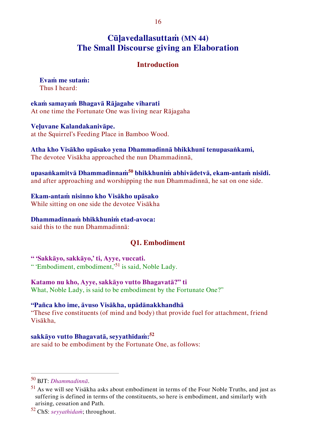## **Cūḷavedallasuttaṁ (MN 44) The Small Discourse giving an Elaboration**

#### <span id="page-16-1"></span><span id="page-16-0"></span>**Introduction**

**Evaṁ me sutaṁ:**  Thus I heard:

**ekaṁ samayaṁ Bhagavā Rājagahe viharati**  At one time the Fortunate One was living near Rājagaha

**Veḷuvane Kalandakanivāpe.**  at the Squirrel's Feeding Place in Bamboo Wood.

**Atha kho Visākho upāsako yena Dhammadinnā bhikkhunī tenupasaṅkami,** The devotee Visākha approached the nun Dhammadinnā,

**upasaṅkamitvā Dhammadinnaṁ<sup>50</sup> bhikkhuniṁ abhivādetvā, ekam-antaṁ nisīdi.**  and after approaching and worshipping the nun Dhammadinnā, he sat on one side.

#### **Ekam-antaṁ nisinno kho Visākho upāsako**

While sitting on one side the devotee Visākha

#### **Dhammadinnaṁ bhikkhuniṁ etad-avoca:**

said this to the nun Dhammadinnā:

#### <span id="page-16-2"></span>**Q1. Embodiment**

**" 'Sakkāyo, sakkāyo,' ti, Ayye, vuccati.** " 'Embodiment, embodiment,'<sup>51</sup> is said, Noble Lady.

#### **Katamo nu kho, Ayye, sakkāyo vutto Bhagavatā?" ti**

What, Noble Lady, is said to be embodiment by the Fortunate One?"

#### **"Pañca kho ime, āvuso Visākha, upādānakkhandhā**

"These five constituents (of mind and body) that provide fuel for attachment, friend Visākha,

#### **sakkāyo vutto Bhagavatā, seyyathīdaṁ:<sup>52</sup>**

are said to be embodiment by the Fortunate One, as follows:

<sup>50</sup> BJT: *Dhammadinnā*.

<sup>51</sup> As we will see Visākha asks about embodiment in terms of the Four Noble Truths, and just as suffering is defined in terms of the constituents, so here is embodiment, and similarly with arising, cessation and Path.

<sup>52</sup> ChS: *seyyathidaṁ*; throughout.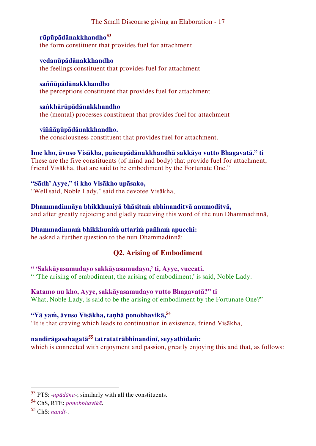**rūpūpādānakkhandho<sup>53</sup>** the form constituent that provides fuel for attachment

**vedanūpādānakkhandho** the feelings constituent that provides fuel for attachment

**saññūpādānakkhandho** the perceptions constituent that provides fuel for attachment

**saṅkhārūpādānakkhandho** the (mental) processes constituent that provides fuel for attachment

**viññāṇūpādānakkhandho.** the consciousness constituent that provides fuel for attachment.

**Ime kho, āvuso Visākha, pañcupādānakkhandhā sakkāyo vutto Bhagavatā." ti** These are the five constituents (of mind and body) that provide fuel for attachment, friend Visākha, that are said to be embodiment by the Fortunate One."

**"Sādh' Ayye," ti kho Visākho upāsako,** "Well said, Noble Lady," said the devotee Visākha,

#### **Dhammadinnāya bhikkhuniyā bhāsitaṁ abhinanditvā anumoditvā,**

and after greatly rejoicing and gladly receiving this word of the nun Dhammadinnā,

### **Dhammadinnaṁ bhikkhuniṁ uttariṁ pañhaṁ apucchi:**

he asked a further question to the nun Dhammadinnā:

## <span id="page-17-0"></span>**Q2. Arising of Embodiment**

#### **" 'Sakkāyasamudayo sakkāyasamudayo,' ti, Ayye, vuccati.**

" 'The arising of embodiment, the arising of embodiment,' is said, Noble Lady.

### **Katamo nu kho, Ayye, sakkāyasamudayo vutto Bhagavatā?" ti**

What, Noble Lady, is said to be the arising of embodiment by the Fortunate One?"

## **"Yā yaṁ, āvuso Visākha, taṇhā ponobhavikā,<sup>54</sup>**

"It is that craving which leads to continuation in existence, friend Visākha,

## **nandirāgasahagatā<sup>55</sup> tatratatrābhinandinī, seyyathīdaṁ:**

which is connected with enjoyment and passion, greatly enjoying this and that, as follows:

<sup>53</sup> PTS: -*upādāna*-; similarly with all the constituents.

<sup>54</sup> ChS, RTE: *ponobbhavikā*.

 $55$  ChS: *nandī*-...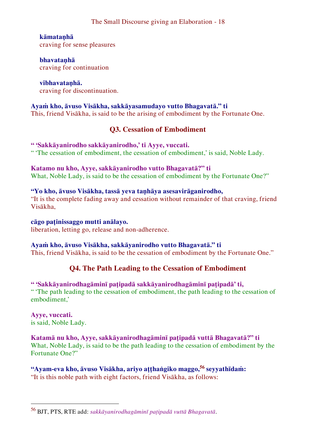#### **kāmataṇhā**

craving for sense pleasures

**bhavataṇhā** craving for continuation

**vibhavataṇhā.** craving for discontinuation.

#### **Ayaṁ kho, āvuso Visākha, sakkāyasamudayo vutto Bhagavatā." ti**

This, friend Visākha, is said to be the arising of embodiment by the Fortunate One.

### <span id="page-18-0"></span>**Q3. Cessation of Embodiment**

**" 'Sakkāyanirodho sakkāyanirodho,' ti Ayye, vuccati.** " 'The cessation of embodiment, the cessation of embodiment,' is said, Noble Lady.

**Katamo nu kho, Ayye, sakkāyanirodho vutto Bhagavatā?" ti** What, Noble Lady, is said to be the cessation of embodiment by the Fortunate One?"

#### **"Yo kho, āvuso Visākha, tassā yeva taṇhāya asesavirāganirodho,**

"It is the complete fading away and cessation without remainder of that craving, friend Visākha,

#### **cāgo paṭinissaggo mutti anālayo.**

liberation, letting go, release and non-adherence.

#### **Ayaṁ kho, āvuso Visākha, sakkāyanirodho vutto Bhagavatā." ti**

This, friend Visākha, is said to be the cessation of embodiment by the Fortunate One."

### <span id="page-18-1"></span>**Q4. The Path Leading to the Cessation of Embodiment**

#### **" 'Sakkāyanirodhagāminī paṭipadā sakkāyanirodhagāminī paṭipadā' ti,**

" 'The path leading to the cessation of embodiment, the path leading to the cessation of embodiment,'

#### **Ayye, vuccati.** is said, Noble Lady.

 $\overline{a}$ 

#### **Katamā nu kho, Ayye, sakkāyanirodhagāminī paṭipadā vuttā Bhagavatā?" ti**

What, Noble Lady, is said to be the path leading to the cessation of embodiment by the Fortunate One?"

**"Ayam-eva kho, āvuso Visākha, ariyo aṭṭhaṅgiko maggo,<sup>56</sup> seyyathīdaṁ:** "It is this noble path with eight factors, friend Visākha, as follows:

<sup>56</sup> BJT, PTS, RTE add: *sakkāyanirodhagāminī paṭipadā vuttā Bhagavatā*.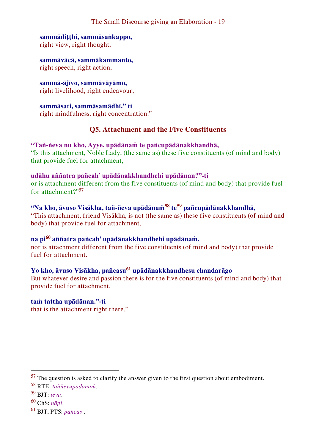#### **sammādiṭṭhi, sammāsaṅkappo,** right view, right thought,

**sammāvācā, sammākammanto,** right speech, right action,

**sammā-ājīvo, sammāvāyāmo,** right livelihood, right endeavour,

**sammāsati, sammāsamādhī." ti** right mindfulness, right concentration."

#### <span id="page-19-0"></span>**Q5. Attachment and the Five Constituents**

#### **"Tañ-ñeva nu kho, Ayye, upādānaṁ te pañcupādānakkhandhā,**

"Is this attachment, Noble Lady, (the same as) these five constituents (of mind and body) that provide fuel for attachment,

#### **udāhu aññatra pañcah' upādānakkhandhehi upādānan?"-ti**

or is attachment different from the five constituents (of mind and body) that provide fuel for attachment?"<sup>57</sup>

## **"Na kho, āvuso Visākha, tañ-ñeva upādānaṁ<sup>58</sup> te<sup>59</sup> pañcupādānakkhandhā,**

"This attachment, friend Visākha, is not (the same as) these five constituents (of mind and body) that provide fuel for attachment,

#### **na pi<sup>60</sup> aññatra pañcah' upādānakkhandhehi upādānaṁ.**

nor is attachment different from the five constituents (of mind and body) that provide fuel for attachment.

## **Yo kho, āvuso Visākha, pañcasu<sup>61</sup> upādānakkhandhesu chandarāgo**

But whatever desire and passion there is for the five constituents (of mind and body) that provide fuel for attachment,

#### **taṁ tattha upādānan."-ti**

that is the attachment right there."

 $57$  The question is asked to clarify the answer given to the first question about embodiment.

<sup>58</sup> RTE: *taññevupādānaṁ*.

<sup>59</sup> BJT: *teva*.

<sup>60</sup> ChS: *nāpi*.

<sup>61</sup> BJT, PTS: *pañcas'*.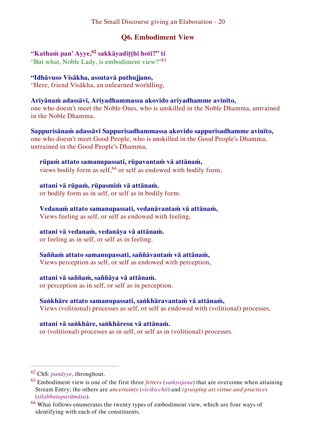## <span id="page-20-0"></span>**Q6. Embodiment View**

# **"Kathaṁ pan' Ayye,<sup>62</sup> sakkāyadiṭṭhi hotī?" ti**

"But what, Noble Lady, is embodiment view?"<sup>63</sup>

## **"Idhāvuso Visākha, assutavā puthujjano,**

"Here, friend Visākha, an unlearned worldling,

### **Ariyānaṁ adassāvī, Ariyadhammassa akovido ariyadhamme avinīto,**

one who doesn't meet the Noble Ones, who is unskilled in the Noble Dhamma, untrained in the Noble Dhamma,

**Sappurisānaṁ adassāvī Sappurisadhammassa akovido sappurisadhamme avinīto,**  one who doesn't meet Good People, who is unskilled in the Good People's Dhamma, untrained in the Good People's Dhamma,

#### **rūpaṁ attato samanupassati, rūpavantaṁ vā attānaṁ,**  views bodily form as self,  $64$  or self as endowed with bodily form,

**attani vā rūpaṁ, rūpasmiṁ vā attānaṁ.** 

or bodily form as in self, or self as in bodily form.

### **Vedanaṁ attato samanupassati, vedanāvantaṁ vā attānaṁ,**

Views feeling as self, or self as endowed with feeling,

### **attani vā vedanaṁ, vedanāya vā attānaṁ.**

or feeling as in self, or self as in feeling.

### **Saññaṁ attato samanupassati, saññāvantaṁ vā attānaṁ,**

Views perception as self, or self as endowed with perception,

### **attani vā saññaṁ, saññāya vā attānaṁ.**

or perception as in self, or self as in perception.

### **Saṅkhāre attato samanupassati, saṅkhāravantaṁ vā attānaṁ,**

Views (volitional) processes as self, or self as endowed with (volitional) processes,

### **attani vā saṅkhāre, saṅkhāresu vā attānaṁ.**

or (volitional) processes as in self, or self as in (volitional) processes.

<sup>62</sup> ChS: *panāyye*, throughout.

<sup>63</sup> Embodiment view is one of the first three *fetters* (*saṁyojana*) that are overcome when attaining Stream Entry; the others are *uncertainty* (*vicikicchā*) and *(grasping at) virtue and practices* (*sīlabbataparāmāsa*).

 $64$  What follows enumerates the twenty types of embodiment view, which are four ways of identifying with each of the constituents.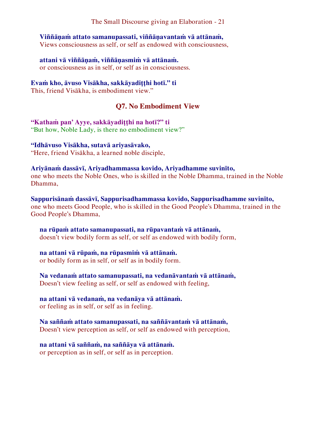#### **Viññāṇaṁ attato samanupassati, viññāṇavantaṁ vā attānaṁ,**

Views consciousness as self, or self as endowed with consciousness,

#### **attani vā viññāṇaṁ, viññāṇasmiṁ vā attānaṁ.**

or consciousness as in self, or self as in consciousness.

#### **Evaṁ kho, āvuso Visākha, sakkāyadiṭṭhi hotī." ti**

This, friend Visākha, is embodiment view."

#### <span id="page-21-0"></span>**Q7. No Embodiment View**

**"Kathaṁ pan' Ayye, sakkāyadiṭṭhi na hotī?" ti** "But how, Noble Lady, is there no embodiment view?"

#### **"Idhāvuso Visākha, sutavā ariyasāvako,**

"Here, friend Visākha, a learned noble disciple,

#### **Ariyānaṁ dassāvī, Ariyadhammassa kovido, Ariyadhamme suvinīto,**

one who meets the Noble Ones, who is skilled in the Noble Dhamma, trained in the Noble Dhamma,

**Sappurisānaṁ dassāvī, Sappurisadhammassa kovido, Sappurisadhamme suvinīto,**  one who meets Good People, who is skilled in the Good People's Dhamma, trained in the Good People's Dhamma,

#### **na rūpaṁ attato samanupassati, na rūpavantaṁ vā attānaṁ,**  doesn't view bodily form as self, or self as endowed with bodily form,

**na attani vā rūpaṁ, na rūpasmiṁ vā attānaṁ.**  or bodily form as in self, or self as in bodily form.

#### **Na vedanaṁ attato samanupassati, na vedanāvantaṁ vā attānaṁ,**

Doesn't view feeling as self, or self as endowed with feeling,

#### **na attani vā vedanaṁ, na vedanāya vā attānaṁ.**

or feeling as in self, or self as in feeling.

#### **Na saññaṁ attato samanupassati, na saññāvantaṁ vā attānaṁ,**

Doesn't view perception as self, or self as endowed with perception,

#### **na attani vā saññaṁ, na saññāya vā attānaṁ.**

or perception as in self, or self as in perception.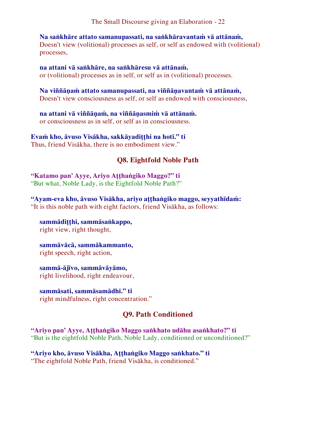**Na saṅkhāre attato samanupassati, na saṅkhāravantaṁ vā attānaṁ,**  Doesn't view (volitional) processes as self, or self as endowed with (volitional) processes,

**na attani vā saṅkhāre, na saṅkhāresu vā attānaṁ.**  or (volitional) processes as in self, or self as in (volitional) processes.

**Na viññāṇaṁ attato samanupassati, na viññāṇavantaṁ vā attānaṁ,**  Doesn't view consciousness as self, or self as endowed with consciousness,

**na attani vā viññāṇaṁ, na viññāṇasmiṁ vā attānaṁ.**  or consciousness as in self, or self as in consciousness.

**Evaṁ kho, āvuso Visākha, sakkāyadiṭṭhi na hotī." ti** Thus, friend Visākha, there is no embodiment view."

## <span id="page-22-0"></span>**Q8. Eightfold Noble Path**

**"Katamo pan' Ayye, Ariyo Aṭṭhaṅgiko Maggo?" ti** "But what, Noble Lady, is the Eightfold Noble Path?"

**"Ayam-eva kho, āvuso Visākha, ariyo aṭṭhaṅgiko maggo, seyyathīdaṁ:** "It is this noble path with eight factors, friend Visākha, as follows:

**sammādiṭṭhi, sammāsaṅkappo,** right view, right thought,

**sammāvācā, sammākammanto,** right speech, right action,

**sammā-ājīvo, sammāvāyāmo,** right livelihood, right endeavour,

**sammāsati, sammāsamādhī." ti** right mindfulness, right concentration."

### <span id="page-22-1"></span>**Q9. Path Conditioned**

**"Ariyo pan' Ayye, Aṭṭhaṅgiko Maggo saṅkhato udāhu asaṅkhato?" ti** "But is the eightfold Noble Path, Noble Lady, conditioned or unconditioned?"

**"Ariyo kho, āvuso Visākha, Aṭṭhaṅgiko Maggo saṅkhato." ti** "The eightfold Noble Path, friend Visākha, is conditioned."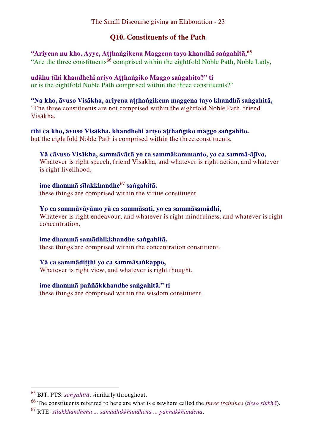## <span id="page-23-0"></span>**Q10. Constituents of the Path**

**"Ariyena nu kho, Ayye, Aṭṭhaṅgikena Maggena tayo khandhā saṅgahitā,<sup>65</sup>** "Are the three constituents<sup>66</sup> comprised within the eightfold Noble Path, Noble Lady,

**udāhu tīhi khandhehi ariyo Aṭṭhaṅgiko Maggo saṅgahito?" ti** or is the eightfold Noble Path comprised within the three constituents?"

**"Na kho, āvuso Visākha, ariyena aṭṭhaṅgikena maggena tayo khandhā saṅgahitā,** "The three constituents are not comprised within the eightfold Noble Path, friend Visākha,

**tīhi ca kho, āvuso Visākha, khandhehi ariyo aṭṭhaṅgiko maggo saṅgahito.**  but the eightfold Noble Path is comprised within the three constituents.

**Yā cāvuso Visākha, sammāvācā yo ca sammākammanto, yo ca sammā-ājīvo,** Whatever is right speech, friend Visākha, and whatever is right action, and whatever is right livelihood,

**ime dhammā sīlakkhandhe<sup>67</sup> saṅgahitā.**  these things are comprised within the virtue constituent.

**Yo ca sammāvāyāmo yā ca sammāsati, yo ca sammāsamādhi,** Whatever is right endeavour, and whatever is right mindfulness, and whatever is right concentration,

**ime dhammā samādhikkhandhe saṅgahitā.**  these things are comprised within the concentration constituent.

**Yā ca sammādiṭṭhi yo ca sammāsaṅkappo,**  Whatever is right view, and whatever is right thought,

**ime dhammā paññākkhandhe saṅgahitā." ti** these things are comprised within the wisdom constituent.

<sup>65</sup> BJT, PTS: *saṅgahītā*; similarly throughout.

<sup>66</sup> The constituents referred to here are what is elsewhere called the *three trainings* (*tisso sikkhā*).

<sup>67</sup> RTE: *sīlakkhandhena ... samādhikkhandhena ... paññākkhandena*.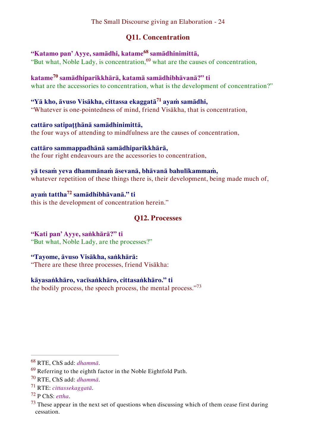## <span id="page-24-0"></span>**Q11. Concentration**

**"Katamo pan' Ayye, samādhi, katame<sup>68</sup> samādhinimittā,**  "But what, Noble Lady, is concentration,  $69$  what are the causes of concentration,

**katame<sup>70</sup> samādhiparikkhārā, katamā samādhibhāvanā?" ti** what are the accessories to concentration, what is the development of concentration?"

**"Yā kho, āvuso Visākha, cittassa ekaggatā<sup>71</sup> ayaṁ samādhi,** "Whatever is one-pointedness of mind, friend Visākha, that is concentration,

**cattāro satipaṭṭhānā samādhinimittā,** the four ways of attending to mindfulness are the causes of concentration,

**cattāro sammappadhānā samādhiparikkhārā,**  the four right endeavours are the accessories to concentration,

**yā tesaṁ yeva dhammānaṁ āsevanā, bhāvanā bahulīkammaṁ,**  whatever repetition of these things there is, their development, being made much of,

**ayaṁ tattha<sup>72</sup> samādhibhāvanā." ti** this is the development of concentration herein."

## <span id="page-24-1"></span>**Q12. Processes**

**"Kati pan' Ayye, saṅkhārā?" ti** "But what, Noble Lady, are the processes?"

#### **"Tayome, āvuso Visākha, saṅkhārā:**

"There are these three processes, friend Visākha:

#### **kāyasaṅkhāro, vacīsaṅkhāro, cittasaṅkhāro." ti**

the bodily process, the speech process, the mental process."<sup>73</sup>

<sup>68</sup> RTE, ChS add: *dhammā*.

 $69$  Referring to the eighth factor in the Noble Eightfold Path.

<sup>70</sup> RTE, ChS add: *dhammā*.

<sup>71</sup> RTE: *cittassekaggatā*.

<sup>72</sup> P ChS: *ettha*.

 $73$  These appear in the next set of questions when discussing which of them cease first during cessation.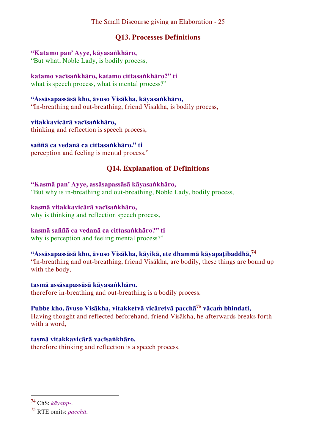## <span id="page-25-0"></span>**Q13. Processes Definitions**

#### **"Katamo pan' Ayye, kāyasaṅkhāro,**

"But what, Noble Lady, is bodily process,

#### **katamo vacīsaṅkhāro, katamo cittasaṅkhāro?" ti**

what is speech process, what is mental process?"

## **"Assāsapassāsā kho, āvuso Visākha, kāyasaṅkhāro,**

"In-breathing and out-breathing, friend Visākha, is bodily process,

#### **vitakkavicārā vacīsaṅkhāro,**  thinking and reflection is speech process,

#### **saññā ca vedanā ca cittasaṅkhāro." ti**

perception and feeling is mental process."

## <span id="page-25-1"></span>**Q14. Explanation of Definitions**

## **"Kasmā pan' Ayye, assāsapassāsā kāyasaṅkhāro,**

"But why is in-breathing and out-breathing, Noble Lady, bodily process,

#### **kasmā vitakkavicārā vacīsaṅkhāro,**

why is thinking and reflection speech process,

## **kasmā saññā ca vedanā ca cittasaṅkhāro?" ti**

why is perception and feeling mental process?"

## **"Assāsapassāsā kho, āvuso Visākha, kāyikā, ete dhammā kāyapaṭibaddhā,<sup>74</sup>**

"In-breathing and out-breathing, friend Visākha, are bodily, these things are bound up with the body,

#### **tasmā assāsapassāsā kāyasaṅkhāro.**

therefore in-breathing and out-breathing is a bodily process.

### **Pubbe kho, āvuso Visākha, vitakketvā vicāretvā pacchā<sup>75</sup> vācaṁ bhindati,**

Having thought and reflected beforehand, friend Visākha, he afterwards breaks forth with a word,

#### **tasmā vitakkavicārā vacīsaṅkhāro.**

therefore thinking and reflection is a speech process.

## <sup>74</sup> ChS: *kāyapp-*.

<sup>75</sup> RTE omits: *pacchā*.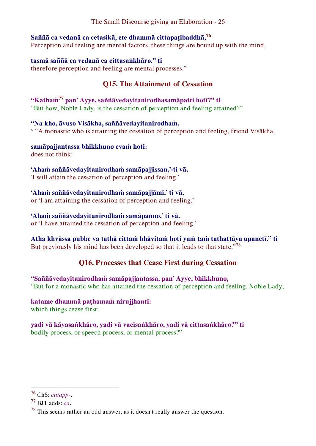## **Saññā ca vedanā ca cetasikā, ete dhammā cittapaṭibaddhā,<sup>76</sup>**

Perception and feeling are mental factors, these things are bound up with the mind,

#### **tasmā saññā ca vedanā ca cittasaṅkhāro." ti**

therefore perception and feeling are mental processes."

## <span id="page-26-0"></span>**Q15. The Attainment of Cessation**

## **"Kathaṁ<sup>77</sup> pan' Ayye, saññāvedayitanirodhasamāpatti hotī?" ti**

"But how, Noble Lady, is the cessation of perception and feeling attained?"

#### **"Na kho, āvuso Visākha, saññāvedayitanirodhaṁ,**

° "A monastic who is attaining the cessation of perception and feeling, friend Visākha,

#### **samāpajjantassa bhikkhuno evaṁ hoti:**  does not think:

## **'Ahaṁ saññāvedayitanirodhaṁ samāpajjissan,'-ti vā,**

'I will attain the cessation of perception and feeling,'

#### **'Ahaṁ saññāvedayitanirodhaṁ samāpajjāmī,' ti vā,**

or 'I am attaining the cessation of perception and feeling,'

#### **'Ahaṁ saññāvedayitanirodhaṁ samāpanno,' ti vā.**

or 'I have attained the cessation of perception and feeling.'

### **Atha khvāssa pubbe va tathā cittaṁ bhāvitaṁ hoti yaṁ taṁ tathattāya upanetī." ti**

But previously his mind has been developed so that it leads to that state."<sup>78</sup>

## <span id="page-26-1"></span>**Q16. Processes that Cease First during Cessation**

**"Saññāvedayitanirodhaṁ samāpajjantassa, pan' Ayye, bhikkhuno,** "But for a monastic who has attained the cessation of perception and feeling, Noble Lady,

### **katame dhammā paṭhamaṁ nirujjhanti:**

which things cease first:

#### **yadi vā kāyasaṅkhāro, yadi vā vacīsaṅkhāro, yadi vā cittasaṅkhāro?" ti**  bodily process, or speech process, or mental process?"

<sup>76</sup> ChS: *cittapp*-.

<sup>77</sup> BJT adds: *ca*.

 $78$  This seems rather an odd answer, as it doesn't really answer the question.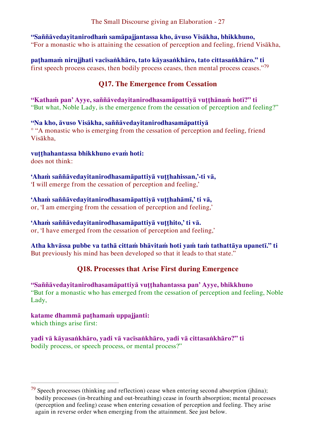**"Saññāvedayitanirodhaṁ samāpajjantassa kho, āvuso Visākha, bhikkhuno,** "For a monastic who is attaining the cessation of perception and feeling, friend Visākha,

**paṭhamaṁ nirujjhati vacīsaṅkhāro, tato kāyasaṅkhāro, tato cittasaṅkhāro." ti** first speech process ceases, then bodily process ceases, then mental process ceases."<sup>79</sup>

## <span id="page-27-0"></span>**Q17. The Emergence from Cessation**

**"Kathaṁ pan' Ayye, saññāvedayitanirodhasamāpattiyā vuṭṭhānaṁ hotī?" ti** "But what, Noble Lady, is the emergence from the cessation of perception and feeling?"

## **"Na kho, āvuso Visākha, saññāvedayitanirodhasamāpattiyā**

° "A monastic who is emerging from the cessation of perception and feeling, friend Visākha,

### **vuṭṭhahantassa bhikkhuno evaṁ hoti:**

does not think:

**'Ahaṁ saññāvedayitanirodhasamāpattiyā vuṭṭhahissan,'-ti vā,**  'I will emerge from the cessation of perception and feeling,'

**'Ahaṁ saññāvedayitanirodhasamāpattiyā vuṭṭhahāmī,' ti vā,** 

or, 'I am emerging from the cessation of perception and feeling,'

## **'Ahaṁ saññāvedayitanirodhasamāpattiyā vuṭṭhito,' ti vā.**

or, 'I have emerged from the cessation of perception and feeling,'

#### **Atha khvāssa pubbe va tathā cittaṁ bhāvitaṁ hoti yaṁ taṁ tathattāya upanetī." ti** But previously his mind has been developed so that it leads to that state."

## <span id="page-27-1"></span>**Q18. Processes that Arise First during Emergence**

#### **"Saññāvedayitanirodhasamāpattiyā vuṭṭhahantassa pan' Ayye, bhikkhuno**  "But for a monastic who has emerged from the cessation of perception and feeling, Noble Lady,

## **katame dhammā paṭhamaṁ uppajjanti:**

which things arise first:

 $\overline{a}$ 

**yadi vā kāyasaṅkhāro, yadi vā vacīsaṅkhāro, yadi vā cittasaṅkhāro?" ti**  bodily process, or speech process, or mental process?"

 $79$  Speech processes (thinking and reflection) cease when entering second absorption (jhāna); bodily processes (in-breathing and out-breathing) cease in fourth absorption; mental processes (perception and feeling) cease when entering cessation of perception and feeling. They arise again in reverse order when emerging from the attainment. See just below.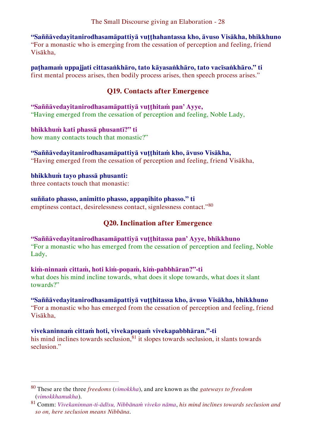**"Saññāvedayitanirodhasamāpattiyā vuṭṭhahantassa kho, āvuso Visākha, bhikkhuno**  "For a monastic who is emerging from the cessation of perception and feeling, friend Visākha,

**paṭhamaṁ uppajjati cittasaṅkhāro, tato kāyasaṅkhāro, tato vacīsaṅkhāro." ti** first mental process arises, then bodily process arises, then speech process arises."

## <span id="page-28-0"></span>**Q19. Contacts after Emergence**

**"Saññāvedayitanirodhasamāpattiyā vuṭṭhitaṁ pan' Ayye,**  "Having emerged from the cessation of perception and feeling, Noble Lady,

**bhikkhuṁ kati phassā phusantī?" ti**  how many contacts touch that monastic?"

#### **"Saññāvedayitanirodhasamāpattiyā vuṭṭhitaṁ kho, āvuso Visākha,**

"Having emerged from the cessation of perception and feeling, friend Visākha,

#### **bhikkhuṁ tayo phassā phusanti:**

three contacts touch that monastic:

 $\overline{a}$ 

#### **suññato phasso, animitto phasso, appaṇihito phasso." ti**

emptiness contact, desirelessness contact, signlessness contact."<sup>80</sup>

## <span id="page-28-1"></span>**Q20. Inclination after Emergence**

#### **"Saññāvedayitanirodhasamāpattiyā vuṭṭhitassa pan' Ayye, bhikkhuno**

"For a monastic who has emerged from the cessation of perception and feeling, Noble Lady,

#### **kiṁ-ninnaṁ cittaṁ, hoti kiṁ-poṇaṁ, kiṁ-pabbhāran?"-ti**

what does his mind incline towards, what does it slope towards, what does it slant towards?"

### **"Saññāvedayitanirodhasamāpattiyā vuṭṭhitassa kho, āvuso Visākha, bhikkhuno**

"For a monastic who has emerged from the cessation of perception and feeling, friend Visākha,

### **vivekaninnaṁ cittaṁ hoti, vivekapoṇaṁ vivekapabbhāran."-ti**

his mind inclines towards seclusion, $81$  it slopes towards seclusion, it slants towards seclusion."

<sup>80</sup> These are the three *freedoms* (*vimokkha*), and are known as the *gateways to freedom*  (*vimokkhamukha*).

<sup>81</sup> Comm: *Vivekaninnan-ti-ādīsu, Nibbānaṁ viveko nāma*, *his mind inclines towards seclusion and so on, here seclusion means Nibbāna*.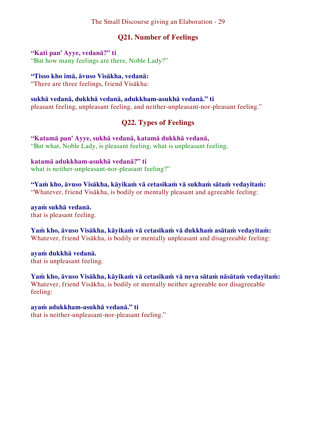## <span id="page-29-0"></span>**Q21. Number of Feelings**

#### **"Kati pan' Ayye, vedanā?" ti**

"But how many feelings are there, Noble Lady?"

#### **"Tisso kho imā, āvuso Visākha, vedanā:**

"There are three feelings, friend Visākha:

#### **sukhā vedanā, dukkhā vedanā, adukkham-asukhā vedanā." ti**

pleasant feeling, unpleasant feeling, and neither-unpleasant-nor-pleasant feeling."

### <span id="page-29-1"></span>**Q22. Types of Feelings**

**"Katamā pan' Ayye, sukhā vedanā, katamā dukkhā vedanā,**  "But what, Noble Lady, is pleasant feeling, what is unpleasant feeling,

**katamā adukkham-asukhā vedanā?" ti** what is neither-unpleasant-nor-pleasant feeling?"

**"Yaṁ kho, āvuso Visākha, kāyikaṁ vā cetasikaṁ vā sukhaṁ sātaṁ vedayitaṁ:** "Whatever, friend Visākha, is bodily or mentally pleasant and agreeable feeling:

**ayaṁ sukhā vedanā.**  that is pleasant feeling.

**Yaṁ kho, āvuso Visākha, kāyikaṁ vā cetasikaṁ vā dukkhaṁ asātaṁ vedayitaṁ:** Whatever, friend Visākha, is bodily or mentally unpleasant and disagreeable feeling:

**ayaṁ dukkhā vedanā.**  that is unpleasant feeling.

**Yaṁ kho, āvuso Visākha, kāyikaṁ vā cetasikaṁ vā neva sātaṁ nāsātaṁ vedayitaṁ:** Whatever, friend Visākha, is bodily or mentally neither agreeable nor disagreeable feeling:

#### **ayaṁ adukkham-asukhā vedanā." ti**

that is neither-unpleasant-nor-pleasant feeling."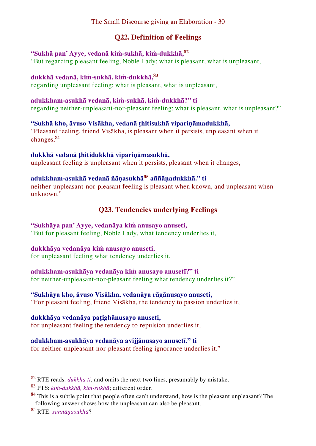## <span id="page-30-0"></span>**Q22. Definition of Feelings**

## **"Sukhā pan' Ayye, vedanā kiṁ-sukhā, kiṁ-dukkhā,<sup>82</sup>**

"But regarding pleasant feeling, Noble Lady: what is pleasant, what is unpleasant,

#### **dukkhā vedanā, kiṁ-sukhā, kiṁ-dukkhā,<sup>83</sup>**

regarding unpleasant feeling: what is pleasant, what is unpleasant,

#### **adukkham-asukhā vedanā, kiṁ-sukhā, kiṁ-dukkhā?" ti**

regarding neither-unpleasant-nor-pleasant feeling: what is pleasant, what is unpleasant?"

#### **"Sukhā kho, āvuso Visākha, vedanā ṭhitisukhā vipariṇāmadukkhā,**

"Pleasant feeling, friend Visākha, is pleasant when it persists, unpleasant when it changes,<sup>84</sup>

#### **dukkhā vedanā ṭhitidukkhā vipariṇāmasukhā,**

unpleasant feeling is unpleasant when it persists, pleasant when it changes,

## **adukkham-asukhā vedanā ñāṇasukhā<sup>85</sup> aññāṇadukkhā." ti**

neither-unpleasant-nor-pleasant feeling is pleasant when known, and unpleasant when unknown."

## <span id="page-30-1"></span>**Q23. Tendencies underlying Feelings**

## **"Sukhāya pan' Ayye, vedanāya kiṁ anusayo anuseti,**

"But for pleasant feeling, Noble Lady, what tendency underlies it,

#### **dukkhāya vedanāya kiṁ anusayo anuseti,**

for unpleasant feeling what tendency underlies it,

## **adukkham-asukhāya vedanāya kiṁ anusayo anusetī?" ti**

for neither-unpleasant-nor-pleasant feeling what tendency underlies it?"

#### **"Sukhāya kho, āvuso Visākha, vedanāya rāgānusayo anuseti,**

"For pleasant feeling, friend Visākha, the tendency to passion underlies it,

#### **dukkhāya vedanāya paṭighānusayo anuseti,**

for unpleasant feeling the tendency to repulsion underlies it,

## **adukkham-asukhāya vedanāya avijjānusayo anusetī." ti**

for neither-unpleasant-nor-pleasant feeling ignorance underlies it."

<sup>82</sup> RTE reads: *dukkhā ti*, and omits the next two lines, presumably by mistake.

<sup>83</sup> PTS: *kiṁ-dukkhā, kiṁ-sukhā*; different order.

 $84$  This is a subtle point that people often can't understand, how is the pleasant unpleasant? The following answer shows how the unpleasant can also be pleasant.

<sup>85</sup> RTE: *saññāṇasukhā*?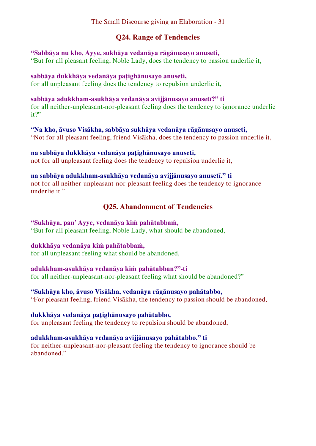## <span id="page-31-0"></span>**Q24. Range of Tendencies**

#### **"Sabbāya nu kho, Ayye, sukhāya vedanāya rāgānusayo anuseti,**

"But for all pleasant feeling, Noble Lady, does the tendency to passion underlie it,

#### **sabbāya dukkhāya vedanāya paṭighānusayo anuseti,**

for all unpleasant feeling does the tendency to repulsion underlie it,

#### **sabbāya adukkham-asukhāya vedanāya avijjānusayo anusetī?" ti**

for all neither-unpleasant-nor-pleasant feeling does the tendency to ignorance underlie it?"

#### **"Na kho, āvuso Visākha, sabbāya sukhāya vedanāya rāgānusayo anuseti,**

"Not for all pleasant feeling, friend Visākha, does the tendency to passion underlie it,

#### **na sabbāya dukkhāya vedanāya paṭighānusayo anuseti,**

not for all unpleasant feeling does the tendency to repulsion underlie it,

#### **na sabbāya adukkham-asukhāya vedanāya avijjānusayo anusetī." ti**

not for all neither-unpleasant-nor-pleasant feeling does the tendency to ignorance underlie it."

## <span id="page-31-1"></span>**Q25. Abandonment of Tendencies**

#### **"Sukhāya, pan' Ayye, vedanāya kiṁ pahātabbaṁ,**

"But for all pleasant feeling, Noble Lady, what should be abandoned,

#### **dukkhāya vedanāya kiṁ pahātabbaṁ,**

for all unpleasant feeling what should be abandoned,

#### **adukkham-asukhāya vedanāya kiṁ pahātabban?"-ti**

for all neither-unpleasant-nor-pleasant feeling what should be abandoned?"

#### **"Sukhāya kho, āvuso Visākha, vedanāya rāgānusayo pahātabbo,**

"For pleasant feeling, friend Visākha, the tendency to passion should be abandoned,

#### **dukkhāya vedanāya paṭighānusayo pahātabbo,**

for unpleasant feeling the tendency to repulsion should be abandoned,

#### **adukkham-asukhāya vedanāya avijjānusayo pahātabbo." ti**

for neither-unpleasant-nor-pleasant feeling the tendency to ignorance should be abandoned"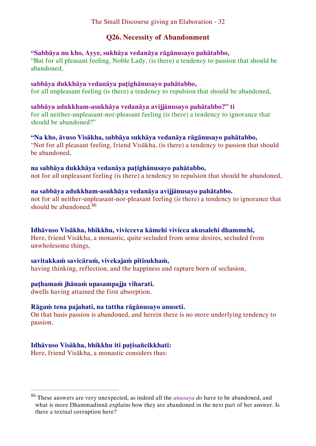## <span id="page-32-0"></span>**Q26. Necessity of Abandonment**

#### **"Sabbāya nu kho, Ayye, sukhāya vedanāya rāgānusayo pahātabbo,**

"But for all pleasant feeling, Noble Lady, (is there) a tendency to passion that should be abandoned,

#### **sabbāya dukkhāya vedanāya paṭighānusayo pahātabbo,**

for all unpleasant feeling (is there) a tendency to repulsion that should be abandoned,

**sabbāya adukkham-asukhāya vedanāya avijjānusayo pahātabbo?" ti** for all neither-unpleasant-nor-pleasant feeling (is there) a tendency to ignorance that should be abandoned?"

**"Na kho, āvuso Visākha, sabbāya sukhāya vedanāya rāgānusayo pahātabbo,**  "Not for all pleasant feeling, friend Visākha, (is there) a tendency to passion that should be abandoned,

#### **na sabbāya dukkhāya vedanāya paṭighānusayo pahātabbo,**

not for all unpleasant feeling (is there) a tendency to repulsion that should be abandoned,

#### **na sabbāya adukkham-asukhāya vedanāya avijjānusayo pahātabbo.**

not for all neither-unpleasant-nor-pleasant feeling (is there) a tendency to ignorance that should be abandoned.<sup>86</sup>

#### **Idhāvuso Visākha, bhikkhu, vivicceva kāmehi vivicca akusalehi dhammehi,**

Here, friend Visākha, a monastic, quite secluded from sense desires, secluded from unwholesome things,

#### **savitakkaṁ savicāraṁ, vivekajaṁ pītisukhaṁ,**

having thinking, reflection, and the happiness and rapture born of seclusion,

#### **paṭhamaṁ jhānaṁ upasampajja viharati.**

dwells having attained the first absorption.

#### **Rāgaṁ tena pajahati, na tattha rāgānusayo anuseti.**

On that basis passion is abandoned, and herein there is no more underlying tendency to passion.

#### **Idhāvuso Visākha, bhikkhu iti paṭisañcikkhati:**

Here, friend Visākha, a monastic considers thus:

<sup>86</sup> These answers are very unexpected, as indeed all the *anusaya do* have to be abandoned, and what is more Dhammadinnā explains how they are abandoned in the next part of her answer. Is there a textual corruption here?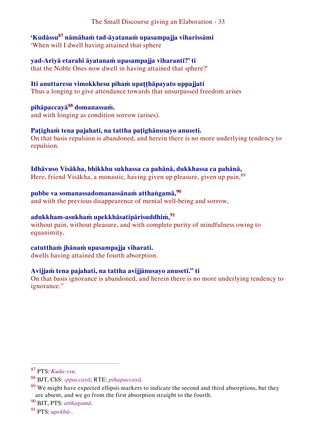**'Kudāssu<sup>87</sup> nāmāhaṁ tad-āyatanaṁ upasampajja viharissāmi**  'When will I dwell having attained that sphere

**yad-Ariyā etarahi āyatanaṁ upasampajja viharantī?' ti**  that the Noble Ones now dwell in having attained that sphere?'

## **Iti anuttaresu vimokkhesu pihaṁ upaṭṭhāpayato uppajjati**

Thus a longing to give attendance towards that unsurpassed freedom arises

## **pihāpaccayā<sup>88</sup> domanassaṁ.**

and with longing as condition sorrow (arises).

#### **Paṭighaṁ tena pajahati, na tattha paṭighānusayo anuseti.**

On that basis repulsion is abandoned, and herein there is no more underlying tendency to repulsion.

#### **Idhāvuso Visākha, bhikkhu sukhassa ca pahānā, dukkhassa ca pahānā,**

Here, friend Visākha, a monastic, having given up pleasure, given up pain, <sup>89</sup>

## **pubbe va somanassadomanassānaṁ atthaṅgamā,<sup>90</sup>**

and with the previous disappearence of mental well-being and sorrow,

#### **adukkham-asukhaṁ upekkhāsatipārisuddhiṁ,<sup>91</sup>**

without pain, without pleasure, and with complete purity of mindfulness owing to equanimity,

#### **catutthaṁ jhānaṁ upasampajja viharati.**

dwells having attained the fourth absorption.

#### **Avijjaṁ tena pajahati, na tattha avijjānusayo anusetī." ti**

On that basis ignorance is abandoned, and herein there is no more underlying tendency to ignorance."

 $\overline{a}$ 

<sup>91</sup> PTS: *upekhā*-.

<sup>87</sup> PTS: *Kuda-ssu*.

<sup>88</sup> BJT, ChS: -*ppaccayā*; RTE: *pihapaccayā*.

 $89$  We might have expected ellipsis markers to indicate the second and third absorptions, but they are absent, and we go from the first absorption straight to the fourth.

<sup>90</sup> BJT, PTS: *atthagamā*.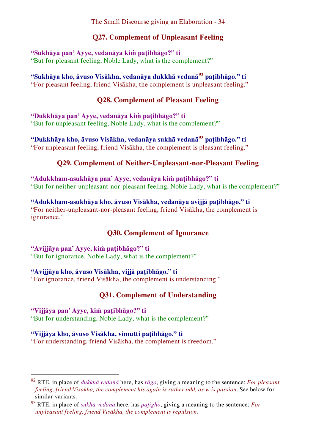## <span id="page-34-0"></span>**Q27. Complement of Unpleasant Feeling**

## **"Sukhāya pan' Ayye, vedanāya kiṁ paṭibhāgo?" ti**

"But for pleasant feeling, Noble Lady, what is the complement?"

**"Sukhāya kho, āvuso Visākha, vedanāya dukkhā vedanā<sup>92</sup> paṭibhāgo." ti** "For pleasant feeling, friend Visākha, the complement is unpleasant feeling."

## <span id="page-34-1"></span>**Q28. Complement of Pleasant Feeling**

**"Dukkhāya pan' Ayye, vedanāya kiṁ paṭibhāgo?" ti** "But for unpleasant feeling, Noble Lady, what is the complement?"

**"Dukkhāya kho, āvuso Visākha, vedanāya sukhā vedanā<sup>93</sup> paṭibhāgo." ti** "For unpleasant feeling, friend Visākha, the complement is pleasant feeling."

## **Q29. Complement of Neither-Unpleasant-nor-Pleasant Feeling**

**"Adukkham-asukhāya pan' Ayye, vedanāya kiṁ paṭibhāgo?" ti** "But for neither-unpleasant-nor-pleasant feeling, Noble Lady, what is the complement?"

**"Adukkham-asukhāya kho, āvuso Visākha, vedanāya avijjā paṭibhāgo." ti** "For neither-unpleasant-nor-pleasant feeling, friend Visākha, the complement is ignorance."

## <span id="page-34-3"></span><span id="page-34-2"></span>**Q30. Complement of Ignorance**

**"Avijjāya pan' Ayye, kiṁ paṭibhāgo?" ti** "But for ignorance, Noble Lady, what is the complement?"

### **"Avijjāya kho, āvuso Visākha, vijjā paṭibhāgo." ti**

"For ignorance, friend Visākha, the complement is understanding."

## <span id="page-34-4"></span>**Q31. Complement of Understanding**

# **"Vijjāya pan' Ayye, kiṁ paṭibhāgo?" ti**

 $\overline{a}$ 

"But for understanding, Noble Lady, what is the complement?"

**"Vijjāya kho, āvuso Visākha, vimutti paṭibhāgo." ti** "For understanding, friend Visākha, the complement is freedom."

<sup>92</sup> RTE, in place of *dukkhā vedanā* here, has *rāgo*, giving a meaning to the sentence: *For pleasant feeling, friend Visākha, the complement his again is rather odd, as w is passion*. See below for similar variants.

<sup>93</sup> RTE, in place of *sukhā vedanā* here, has *paṭigho*, giving a meaning to the sentence: *For unpleasant feeling, friend Visākha, the complement is repulsion*.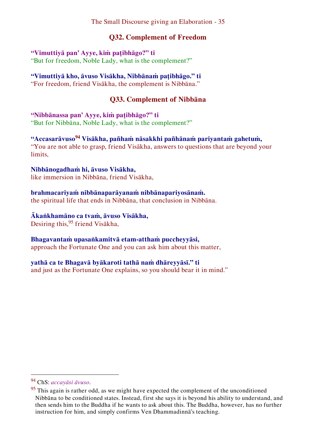## <span id="page-35-0"></span>**Q32. Complement of Freedom**

#### **"Vimuttiyā pan' Ayye, kiṁ paṭibhāgo?" ti**

"But for freedom, Noble Lady, what is the complement?"

## **"Vimuttiyā kho, āvuso Visākha, Nibbānaṁ paṭibhāgo." ti**

"For freedom, friend Visākha, the complement is Nibbāna."

## <span id="page-35-1"></span>**Q33. Complement of Nibbāna**

#### **"Nibbānassa pan' Ayye, kiṁ paṭibhāgo?" ti**

"But for Nibbāna, Noble Lady, what is the complement?"

#### **"Accasarāvuso<sup>94</sup> Visākha, pañhaṁ nāsakkhi pañhānaṁ pariyantaṁ gahetuṁ,** "You are not able to grasp, friend Visākha, answers to questions that are beyond your

limits,

### **Nibbānogadhaṁ hi, āvuso Visākha,**

like immersion in Nibbāna, friend Visākha,

### **brahmacariyaṁ nibbānaparāyanaṁ nibbānapariyosānaṁ.**

the spiritual life that ends in Nibbāna, that conclusion in Nibbāna.

### **Ākaṅkhamāno ca tvaṁ, āvuso Visākha,**

Desiring this,<sup>95</sup> friend Visākha,

## **Bhagavantaṁ upasaṅkamitvā etam-atthaṁ puccheyyāsi,**

approach the Fortunate One and you can ask him about this matter,

### **yathā ca te Bhagavā byākaroti tathā naṁ dhāreyyāsī." ti**

and just as the Fortunate One explains, so you should bear it in mind."

<sup>94</sup> ChS: *accayāsi āvuso*.

 $95$  This again is rather odd, as we might have expected the complement of the unconditioned Nibbāna to be conditioned states. Instead, first she says it is beyond his ability to understand, and then sends him to the Buddha if he wants to ask about this. The Buddha, however, has no further instruction for him, and simply confirms Ven Dhammadinnā's teaching.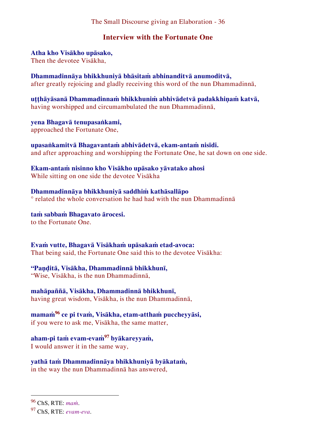## <span id="page-36-0"></span>**Interview with the Fortunate One**

#### **Atha kho Visākho upāsako,**  Then the devotee Visākha,

**Dhammadinnāya bhikkhuniyā bhāsitaṁ abhinanditvā anumoditvā,**  after greatly rejoicing and gladly receiving this word of the nun Dhammadinnā,

**uṭṭhāyāsanā Dhammadinnaṁ bhikkhuniṁ abhivādetvā padakkhiṇaṁ katvā,** having worshipped and circumambulated the nun Dhammadinnā,

**yena Bhagavā tenupasaṅkami,** approached the Fortunate One,

**upasaṅkamitvā Bhagavantaṁ abhivādetvā, ekam-antaṁ nisīdi.** and after approaching and worshipping the Fortunate One, he sat down on one side.

**Ekam-antaṁ nisinno kho Visākho upāsako yāvatako ahosi** While sitting on one side the devotee Visākha

**Dhammadinnāya bhikkhuniyā saddhiṁ kathāsallāpo**  ° related the whole conversation he had had with the nun Dhammadinnā

**taṁ sabbaṁ Bhagavato ārocesi.** to the Fortunate One.

**Evaṁ vutte, Bhagavā Visākhaṁ upāsakaṁ etad-avoca:**  That being said, the Fortunate One said this to the devotee Visākha:

**"Paṇḍitā, Visākha, Dhammadinnā bhikkhunī,**  "Wise, Visākha, is the nun Dhammadinnā,

**mahāpaññā, Visākha, Dhammadinnā bhikkhunī,** having great wisdom, Visākha, is the nun Dhammadinnā,

**mamaṁ<sup>96</sup> ce pi tvaṁ, Visākha, etam-atthaṁ puccheyyāsi,**  if you were to ask me, Visākha, the same matter,

**aham-pi taṁ evam-evaṁ<sup>97</sup> byākareyyaṁ,**  I would answer it in the same way,

**yathā taṁ Dhammadinnāya bhikkhuniyā byākataṁ,**  in the way the nun Dhammadinnā has answered,

<sup>96</sup> ChS, RTE: *maṁ*.

<sup>97</sup> ChS, RTE: *evam-eva*.